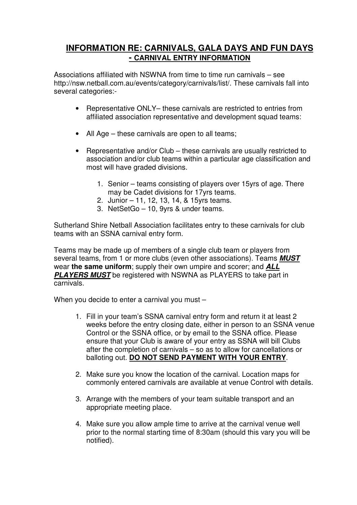## **INFORMATION RE: CARNIVALS, GALA DAYS AND FUN DAYS - CARNIVAL ENTRY INFORMATION**

Associations affiliated with NSWNA from time to time run carnivals – see http://nsw.netball.com.au/events/category/carnivals/list/. These carnivals fall into several categories:-

- Representative ONLY– these carnivals are restricted to entries from affiliated association representative and development squad teams:
- All Age these carnivals are open to all teams;
- Representative and/or Club these carnivals are usually restricted to association and/or club teams within a particular age classification and most will have graded divisions.
	- 1. Senior teams consisting of players over 15yrs of age. There may be Cadet divisions for 17yrs teams.
	- 2. Junior 11, 12, 13, 14, & 15yrs teams.
	- 3. NetSetGo 10, 9yrs & under teams.

Sutherland Shire Netball Association facilitates entry to these carnivals for club teams with an SSNA carnival entry form.

Teams may be made up of members of a single club team or players from several teams, from 1 or more clubs (even other associations). Teams **MUST** wear **the same uniform**; supply their own umpire and scorer; and **ALL PLAYERS MUST** be registered with NSWNA as PLAYERS to take part in carnivals.

When you decide to enter a carnival you must -

- 1. Fill in your team's SSNA carnival entry form and return it at least 2 weeks before the entry closing date, either in person to an SSNA venue Control or the SSNA office, or by email to the SSNA office. Please ensure that your Club is aware of your entry as SSNA will bill Clubs after the completion of carnivals – so as to allow for cancellations or balloting out. **DO NOT SEND PAYMENT WITH YOUR ENTRY**.
- 2. Make sure you know the location of the carnival. Location maps for commonly entered carnivals are available at venue Control with details.
- 3. Arrange with the members of your team suitable transport and an appropriate meeting place.
- 4. Make sure you allow ample time to arrive at the carnival venue well prior to the normal starting time of 8:30am (should this vary you will be notified).